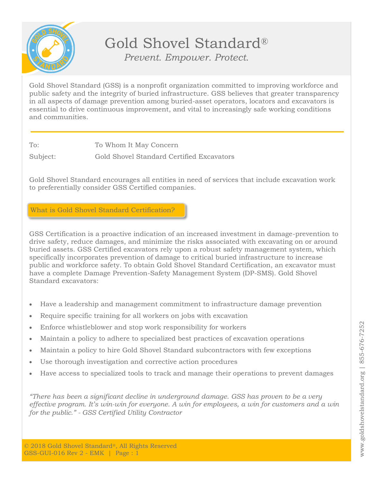

## Gold Shovel Standard® *Prevent. Empower. Protect.*

Gold Shovel Standard (GSS) is a nonprofit organization committed to improving workforce and public safety and the integrity of buried infrastructure. GSS believes that greater transparency in all aspects of damage prevention among buried-asset operators, locators and excavators is essential to drive continuous improvement, and vital to increasingly safe working conditions and communities.

To: To Whom It May Concern

Subject: Gold Shovel Standard Certified Excavators

Gold Shovel Standard encourages all entities in need of services that include excavation work to preferentially consider GSS Certified companies.

What is Gold Shovel Standard Certification?

GSS Certification is a proactive indication of an increased investment in damage-prevention to drive safety, reduce damages, and minimize the risks associated with excavating on or around buried assets. GSS Certified excavators rely upon a robust safety management system, which specifically incorporates prevention of damage to critical buried infrastructure to increase public and workforce safety. To obtain Gold Shovel Standard Certification, an excavator must have a complete Damage Prevention-Safety Management System (DP-SMS). Gold Shovel Standard excavators:

- Have a leadership and management commitment to infrastructure damage prevention
- Require specific training for all workers on jobs with excavation
- Enforce whistleblower and stop work responsibility for workers
- Maintain a policy to adhere to specialized best practices of excavation operations
- Maintain a policy to hire Gold Shovel Standard subcontractors with few exceptions
- Use thorough investigation and corrective action procedures
- Have access to specialized tools to track and manage their operations to prevent damages

*"There has been a significant decline in underground damage. GSS has proven to be a very effective program. It's win-win for everyone. A win for employees, a win for customers and a win for the public." - GSS Certified Utility Contractor*